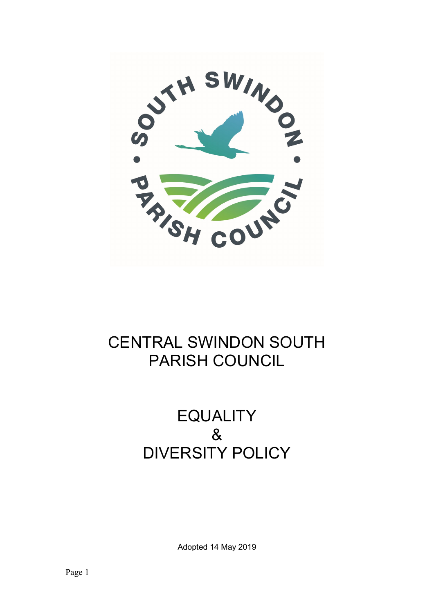

## CENTRAL SWINDON SOUTH PARISH COUNCIL

# **EQUALITY** & DIVERSITY POLICY

Adopted 14 May 2019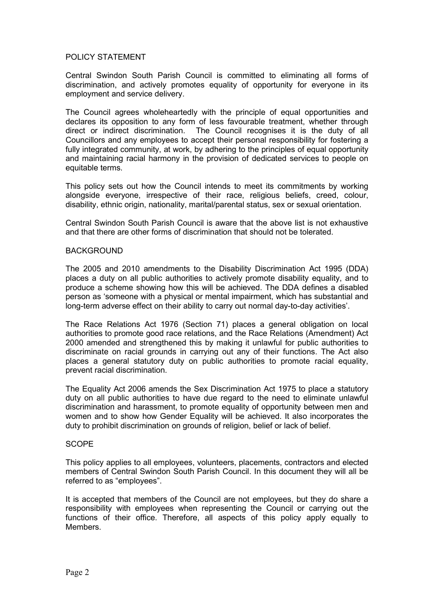### POLICY STATEMENT

Central Swindon South Parish Council is committed to eliminating all forms of discrimination, and actively promotes equality of opportunity for everyone in its employment and service delivery.

The Council agrees wholeheartedly with the principle of equal opportunities and declares its opposition to any form of less favourable treatment, whether through direct or indirect discrimination. The Council recognises it is the duty of all Councillors and any employees to accept their personal responsibility for fostering a fully integrated community, at work, by adhering to the principles of equal opportunity and maintaining racial harmony in the provision of dedicated services to people on equitable terms.

This policy sets out how the Council intends to meet its commitments by working alongside everyone, irrespective of their race, religious beliefs, creed, colour, disability, ethnic origin, nationality, marital/parental status, sex or sexual orientation.

Central Swindon South Parish Council is aware that the above list is not exhaustive and that there are other forms of discrimination that should not be tolerated.

### BACKGROUND

The 2005 and 2010 amendments to the Disability Discrimination Act 1995 (DDA) places a duty on all public authorities to actively promote disability equality, and to produce a scheme showing how this will be achieved. The DDA defines a disabled person as 'someone with a physical or mental impairment, which has substantial and long-term adverse effect on their ability to carry out normal day-to-day activities'.

The Race Relations Act 1976 (Section 71) places a general obligation on local authorities to promote good race relations, and the Race Relations (Amendment) Act 2000 amended and strengthened this by making it unlawful for public authorities to discriminate on racial grounds in carrying out any of their functions. The Act also places a general statutory duty on public authorities to promote racial equality, prevent racial discrimination.

The Equality Act 2006 amends the Sex Discrimination Act 1975 to place a statutory duty on all public authorities to have due regard to the need to eliminate unlawful discrimination and harassment, to promote equality of opportunity between men and women and to show how Gender Equality will be achieved. It also incorporates the duty to prohibit discrimination on grounds of religion, belief or lack of belief.

#### SCOPE

This policy applies to all employees, volunteers, placements, contractors and elected members of Central Swindon South Parish Council. In this document they will all be referred to as "employees".

It is accepted that members of the Council are not employees, but they do share a responsibility with employees when representing the Council or carrying out the functions of their office. Therefore, all aspects of this policy apply equally to Members.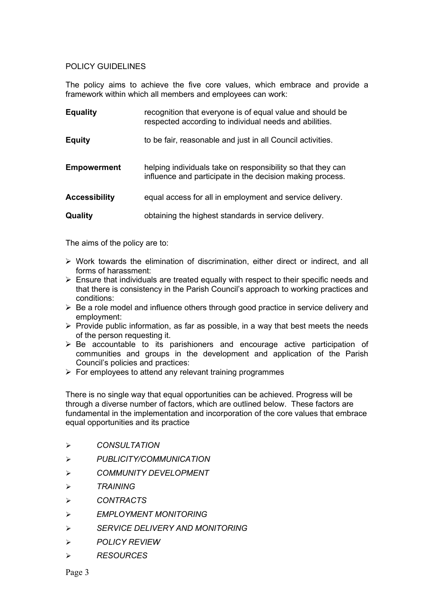## POLICY GUIDELINES

The policy aims to achieve the five core values, which embrace and provide a framework within which all members and employees can work:

| <b>Equality</b>      | recognition that everyone is of equal value and should be<br>respected according to individual needs and abilities.      |
|----------------------|--------------------------------------------------------------------------------------------------------------------------|
| <b>Equity</b>        | to be fair, reasonable and just in all Council activities.                                                               |
| <b>Empowerment</b>   | helping individuals take on responsibility so that they can<br>influence and participate in the decision making process. |
| <b>Accessibility</b> | equal access for all in employment and service delivery.                                                                 |
| Quality              | obtaining the highest standards in service delivery.                                                                     |

The aims of the policy are to:

- $\triangleright$  Work towards the elimination of discrimination, either direct or indirect, and all forms of harassment:
- $\triangleright$  Ensure that individuals are treated equally with respect to their specific needs and that there is consistency in the Parish Council's approach to working practices and conditions:
- $\triangleright$  Be a role model and influence others through good practice in service delivery and employment:
- $\triangleright$  Provide public information, as far as possible, in a way that best meets the needs of the person requesting it.
- $\triangleright$  Be accountable to its parishioners and encourage active participation of communities and groups in the development and application of the Parish Council's policies and practices:
- $\triangleright$  For employees to attend any relevant training programmes

There is no single way that equal opportunities can be achieved. Progress will be through a diverse number of factors, which are outlined below. These factors are fundamental in the implementation and incorporation of the core values that embrace equal opportunities and its practice

- $\triangleright$  CONSULTATION
- > PUBLICITY/COMMUNICATION
- COMMUNITY DEVELOPMENT
- $\triangleright$  TRAINING
- CONTRACTS
- > EMPLOYMENT MONITORING
- > SERVICE DELIVERY AND MONITORING
- POLICY REVIEW
- **EXAMPLE RESOURCES**